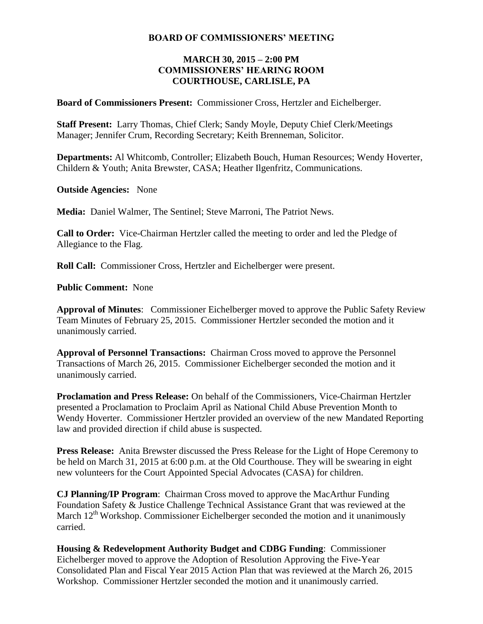#### **BOARD OF COMMISSIONERS' MEETING**

### **MARCH 30, 2015 – 2:00 PM COMMISSIONERS' HEARING ROOM COURTHOUSE, CARLISLE, PA**

**Board of Commissioners Present:** Commissioner Cross, Hertzler and Eichelberger.

**Staff Present:** Larry Thomas, Chief Clerk; Sandy Moyle, Deputy Chief Clerk/Meetings Manager; Jennifer Crum, Recording Secretary; Keith Brenneman, Solicitor.

**Departments:** Al Whitcomb, Controller; Elizabeth Bouch, Human Resources; Wendy Hoverter, Childern & Youth; Anita Brewster, CASA; Heather Ilgenfritz, Communications.

**Outside Agencies:** None

**Media:** Daniel Walmer, The Sentinel; Steve Marroni, The Patriot News.

**Call to Order:** Vice-Chairman Hertzler called the meeting to order and led the Pledge of Allegiance to the Flag.

**Roll Call:** Commissioner Cross, Hertzler and Eichelberger were present.

**Public Comment:** None

**Approval of Minutes**: Commissioner Eichelberger moved to approve the Public Safety Review Team Minutes of February 25, 2015. Commissioner Hertzler seconded the motion and it unanimously carried.

**Approval of Personnel Transactions:** Chairman Cross moved to approve the Personnel Transactions of March 26, 2015. Commissioner Eichelberger seconded the motion and it unanimously carried.

**Proclamation and Press Release:** On behalf of the Commissioners, Vice-Chairman Hertzler presented a Proclamation to Proclaim April as National Child Abuse Prevention Month to Wendy Hoverter. Commissioner Hertzler provided an overview of the new Mandated Reporting law and provided direction if child abuse is suspected.

**Press Release:** Anita Brewster discussed the Press Release for the Light of Hope Ceremony to be held on March 31, 2015 at 6:00 p.m. at the Old Courthouse. They will be swearing in eight new volunteers for the Court Appointed Special Advocates (CASA) for children.

**CJ Planning/IP Program**: Chairman Cross moved to approve the MacArthur Funding Foundation Safety & Justice Challenge Technical Assistance Grant that was reviewed at the March  $12<sup>th</sup>$  Workshop. Commissioner Eichelberger seconded the motion and it unanimously carried.

**Housing & Redevelopment Authority Budget and CDBG Funding**: Commissioner Eichelberger moved to approve the Adoption of Resolution Approving the Five-Year Consolidated Plan and Fiscal Year 2015 Action Plan that was reviewed at the March 26, 2015 Workshop. Commissioner Hertzler seconded the motion and it unanimously carried.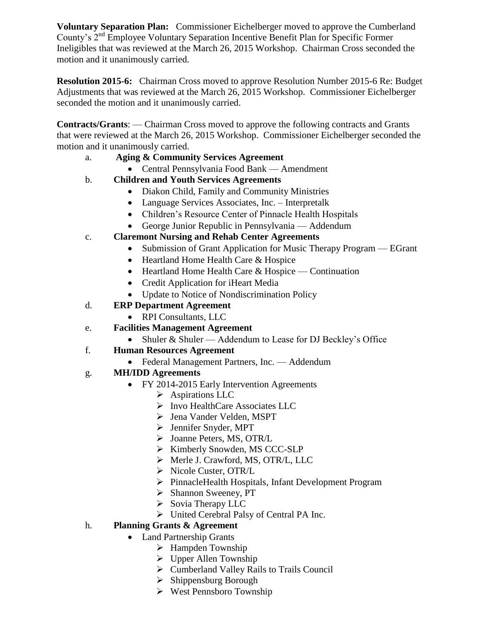**Voluntary Separation Plan:** Commissioner Eichelberger moved to approve the Cumberland County's 2nd Employee Voluntary Separation Incentive Benefit Plan for Specific Former Ineligibles that was reviewed at the March 26, 2015 Workshop. Chairman Cross seconded the motion and it unanimously carried.

**Resolution 2015-6:** Chairman Cross moved to approve Resolution Number 2015-6 Re: Budget Adjustments that was reviewed at the March 26, 2015 Workshop. Commissioner Eichelberger seconded the motion and it unanimously carried.

**Contracts/Grants**: — Chairman Cross moved to approve the following contracts and Grants that were reviewed at the March 26, 2015 Workshop. Commissioner Eichelberger seconded the motion and it unanimously carried.

## a. **Aging & Community Services Agreement**

- Central Pennsylvania Food Bank Amendment
- b. **Children and Youth Services Agreements**
	- Diakon Child, Family and Community Ministries
	- Language Services Associates, Inc. Interpretalk
	- Children's Resource Center of Pinnacle Health Hospitals
	- George Junior Republic in Pennsylvania Addendum
- c. **Claremont Nursing and Rehab Center Agreements**
	- Submission of Grant Application for Music Therapy Program EGrant
	- Heartland Home Health Care & Hospice
	- $\bullet$  Heartland Home Health Care & Hospice Continuation
	- Credit Application for iHeart Media
	- Update to Notice of Nondiscrimination Policy
- d. **ERP Department Agreement**
	- RPI Consultants, LLC
- e. **Facilities Management Agreement**
	- Shuler & Shuler Addendum to Lease for DJ Beckley's Office
- f. **Human Resources Agreement**
	- Federal Management Partners, Inc. Addendum
- g. **MH/IDD Agreements**
	- FY 2014-2015 Early Intervention Agreements
		- $\triangleright$  Aspirations LLC
		- Invo HealthCare Associates LLC
		- Jena Vander Velden, MSPT
		- Jennifer Snyder, MPT
		- > Joanne Peters, MS, OTR/L
		- $\triangleright$  Kimberly Snowden, MS CCC-SLP
		- Merle J. Crawford, MS, OTR/L, LLC
		- Nicole Custer, OTR/L
		- PinnacleHealth Hospitals, Infant Development Program
		- Shannon Sweeney, PT
		- $\triangleright$  Sovia Therapy LLC
		- United Cerebral Palsy of Central PA Inc.

# h. **Planning Grants & Agreement**

- Land Partnership Grants
	- $\triangleright$  Hampden Township
	- Upper Allen Township
	- $\triangleright$  Cumberland Valley Rails to Trails Council
	- $\triangleright$  Shippensburg Borough
	- West Pennsboro Township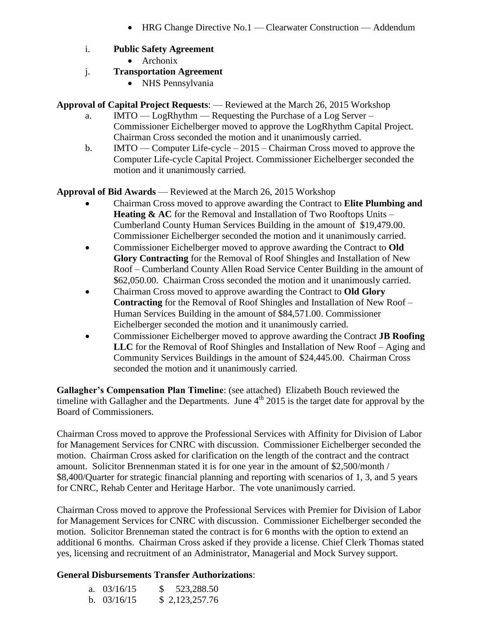- HRG Change Directive No.1 Clearwater Construction Addendum
- i. **Public Safety Agreement**
	- Archonix
- j. **Transportation Agreement**
	- NHS Pennsylvania

**Approval of Capital Project Requests**: — Reviewed at the March 26, 2015 Workshop

- a. IMTO LogRhythm Requesting the Purchase of a Log Server Commissioner Eichelberger moved to approve the LogRhythm Capital Project. Chairman Cross seconded the motion and it unanimously carried.
- b. IMTO Computer Life-cycle 2015 Chairman Cross moved to approve the Computer Life-cycle Capital Project. Commissioner Eichelberger seconded the motion and it unanimously carried.

**Approval of Bid Awards** — Reviewed at the March 26, 2015 Workshop

- Chairman Cross moved to approve awarding the Contract to **Elite Plumbing and Heating & AC** for the Removal and Installation of Two Rooftops Units – Cumberland County Human Services Building in the amount of \$19,479.00. Commissioner Eichelberger seconded the motion and it unanimously carried.
- Commissioner Eichelberger moved to approve awarding the Contract to **Old Glory Contracting** for the Removal of Roof Shingles and Installation of New Roof – Cumberland County Allen Road Service Center Building in the amount of \$62,050.00. Chairman Cross seconded the motion and it unanimously carried.
- Chairman Cross moved to approve awarding the Contract to **Old Glory Contracting** for the Removal of Roof Shingles and Installation of New Roof – Human Services Building in the amount of \$84,571.00. Commissioner Eichelberger seconded the motion and it unanimously carried.
- Commissioner Eichelberger moved to approve awarding the Contract **JB Roofing LLC** for the Removal of Roof Shingles and Installation of New Roof – Aging and Community Services Buildings in the amount of \$24,445.00. Chairman Cross seconded the motion and it unanimously carried.

**Gallagher's Compensation Plan Timeline**: (see attached) Elizabeth Bouch reviewed the timeline with Gallagher and the Departments. June  $4<sup>th</sup>$  2015 is the target date for approval by the Board of Commissioners.

Chairman Cross moved to approve the Professional Services with Affinity for Division of Labor for Management Services for CNRC with discussion. Commissioner Eichelberger seconded the motion. Chairman Cross asked for clarification on the length of the contract and the contract amount. Solicitor Brennenman stated it is for one year in the amount of \$2,500/month / \$8,400/Quarter for strategic financial planning and reporting with scenarios of 1, 3, and 5 years for CNRC, Rehab Center and Heritage Harbor. The vote unanimously carried.

Chairman Cross moved to approve the Professional Services with Premier for Division of Labor for Management Services for CNRC with discussion. Commissioner Eichelberger seconded the motion. Solicitor Brenneman stated the contract is for 6 months with the option to extend an additional 6 months. Chairman Cross asked if they provide a license. Chief Clerk Thomas stated yes, licensing and recruitment of an Administrator, Managerial and Mock Survey support.

### **General Disbursements Transfer Authorizations**:

| a. $03/16/15$ | \$523,288.50   |
|---------------|----------------|
| b. $03/16/15$ | \$2,123,257.76 |